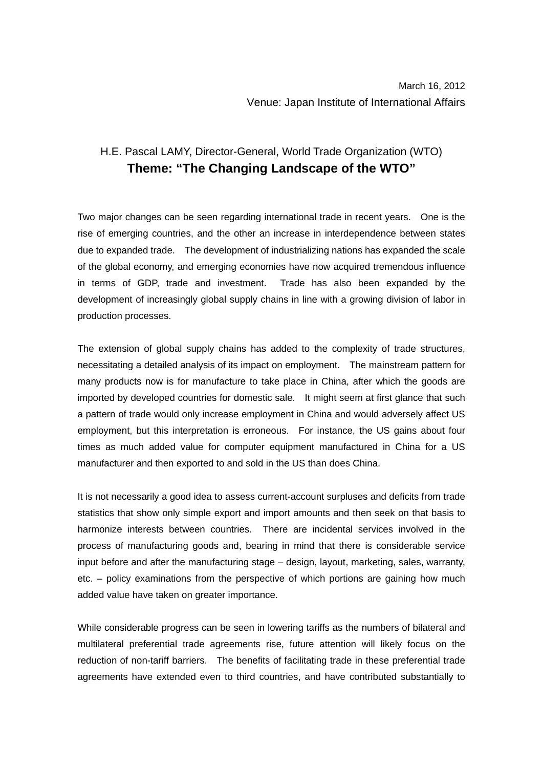## H.E. Pascal LAMY, Director-General, World Trade Organization (WTO) **Theme: "The Changing Landscape of the WTO"**

Two major changes can be seen regarding international trade in recent years. One is the rise of emerging countries, and the other an increase in interdependence between states due to expanded trade. The development of industrializing nations has expanded the scale of the global economy, and emerging economies have now acquired tremendous influence in terms of GDP, trade and investment. Trade has also been expanded by the development of increasingly global supply chains in line with a growing division of labor in production processes.

The extension of global supply chains has added to the complexity of trade structures, necessitating a detailed analysis of its impact on employment. The mainstream pattern for many products now is for manufacture to take place in China, after which the goods are imported by developed countries for domestic sale. It might seem at first glance that such a pattern of trade would only increase employment in China and would adversely affect US employment, but this interpretation is erroneous. For instance, the US gains about four times as much added value for computer equipment manufactured in China for a US manufacturer and then exported to and sold in the US than does China.

It is not necessarily a good idea to assess current-account surpluses and deficits from trade statistics that show only simple export and import amounts and then seek on that basis to harmonize interests between countries. There are incidental services involved in the process of manufacturing goods and, bearing in mind that there is considerable service input before and after the manufacturing stage – design, layout, marketing, sales, warranty, etc. – policy examinations from the perspective of which portions are gaining how much added value have taken on greater importance.

While considerable progress can be seen in lowering tariffs as the numbers of bilateral and multilateral preferential trade agreements rise, future attention will likely focus on the reduction of non-tariff barriers. The benefits of facilitating trade in these preferential trade agreements have extended even to third countries, and have contributed substantially to